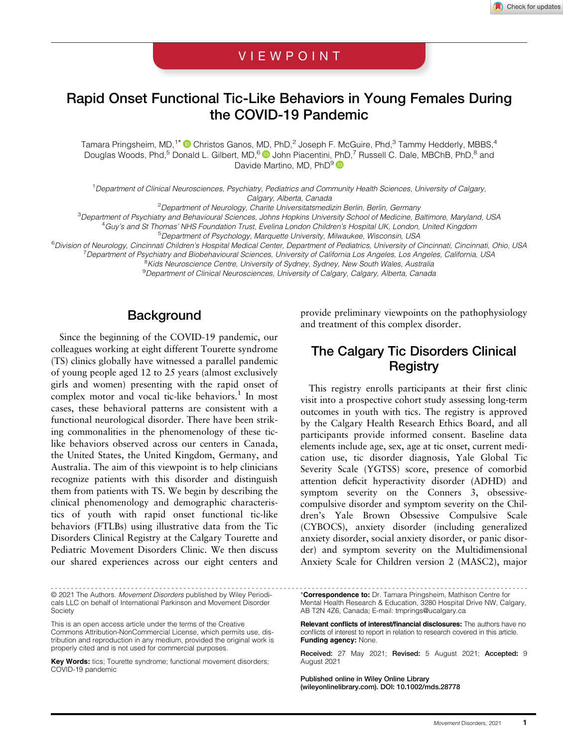## VIEWPOINT

# Rapid Onset Functional Tic-Like Behaviors in Young Females During the COVID-19 Pandemic

Tamara Pringsheim, MD,<sup>1\*</sup> Christos Ganos, MD, PhD,<sup>2</sup> Joseph F. McGuire, Phd,<sup>3</sup> Tammy Hedderly, MBBS,<sup>4</sup> Douglas Woods, Phd,<sup>5</sup> Donald L. Gilbert, MD,<sup>6</sup> U John Piacentini, PhD,<sup>7</sup> Russell C. Dale, MBChB, PhD,<sup>8</sup> and Davide Martino, MD, PhD<sup>9</sup>

1 Department of Clinical Neurosciences, Psychiatry, Pediatrics and Community Health Sciences, University of Calgary, Calgary, Alberta, Canada<br><sup>2</sup>Department of Neurology, Charite Universitatsmedizin Berlin, Berlin, Germany

<sup>3</sup>Department of Psychiatry and Behavioural Sciences, Johns Hopkins University School of Medicine, Baltimore, Maryland, USA

4 Guy's and St Thomas' NHS Foundation Trust, Evelina London Children's Hospital UK, London, United Kingdom

5 Department of Psychology, Marquette University, Milwaukee, Wisconsin, USA

<sup>6</sup>Division of Neurology, Cincinnati Children's Hospital Medical Center, Department of Pediatrics, University of Cincinnati, Cincinnati, Ohio, USA<br><sup>7</sup> Department of Psychiatry and Biobehavioural Sciences, University of Cal

Department of Psychiatry and Biobehavioural Sciences, University of California Los Angeles, Los Angeles, California, USA<br><sup>8</sup>Kids Neuroscience Centre, University of Sydney, Sydney, New South Wales, Australia

<sup>9</sup> Department of Clinical Neurosciences, University of Calgary, Calgary, Alberta, Canada

## **Background**

Since the beginning of the COVID-19 pandemic, our colleagues working at eight different Tourette syndrome (TS) clinics globally have witnessed a parallel pandemic of young people aged 12 to 25 years (almost exclusively girls and women) presenting with the rapid onset of complex motor and vocal tic-like behaviors.<sup>1</sup> In most cases, these behavioral patterns are consistent with a functional neurological disorder. There have been striking commonalities in the phenomenology of these ticlike behaviors observed across our centers in Canada, the United States, the United Kingdom, Germany, and Australia. The aim of this viewpoint is to help clinicians recognize patients with this disorder and distinguish them from patients with TS. We begin by describing the clinical phenomenology and demographic characteristics of youth with rapid onset functional tic-like behaviors (FTLBs) using illustrative data from the Tic Disorders Clinical Registry at the Calgary Tourette and Pediatric Movement Disorders Clinic. We then discuss our shared experiences across our eight centers and

----------------------------------------------------------------------------------------------------------------------- © 2021 The Authors. Movement Disorders published by Wiley Periodicals LLC on behalf of International Parkinson and Movement Disorder **Society** 

This is an open access article under the terms of the [Creative](http://creativecommons.org/licenses/by-nc/4.0/) [Commons Attribution-NonCommercial](http://creativecommons.org/licenses/by-nc/4.0/) License, which permits use, distribution and reproduction in any medium, provided the original work is properly cited and is not used for commercial purposes.

Key Words: tics; Tourette syndrome; functional movement disorders; COVID-19 pandemic

provide preliminary viewpoints on the pathophysiology and treatment of this complex disorder.

## The Calgary Tic Disorders Clinical **Registry**

This registry enrolls participants at their first clinic visit into a prospective cohort study assessing long-term outcomes in youth with tics. The registry is approved by the Calgary Health Research Ethics Board, and all participants provide informed consent. Baseline data elements include age, sex, age at tic onset, current medication use, tic disorder diagnosis, Yale Global Tic Severity Scale (YGTSS) score, presence of comorbid attention deficit hyperactivity disorder (ADHD) and symptom severity on the Conners 3, obsessivecompulsive disorder and symptom severity on the Children's Yale Brown Obsessive Compulsive Scale (CYBOCS), anxiety disorder (including generalized anxiety disorder, social anxiety disorder, or panic disorder) and symptom severity on the Multidimensional Anxiety Scale for Children version 2 (MASC2), major

Published online in Wiley Online Library [\(wileyonlinelibrary.com](http://wileyonlinelibrary.com)). DOI: 10.1002/mds.28778

<sup>\*</sup>Correspondence to: Dr. Tamara Pringsheim, Mathison Centre for Mental Health Research & Education, 3280 Hospital Drive NW, Calgary, AB T2N 4Z6, Canada; E-mail: [tmprings@ucalgary.ca](mailto:tmprings@ucalgary.ca)

Relevant conflicts of interest/financial disclosures: The authors have no conflicts of interest to report in relation to research covered in this article. Funding agency: None.

Received: 27 May 2021; Revised: 5 August 2021; Accepted: 9 August 2021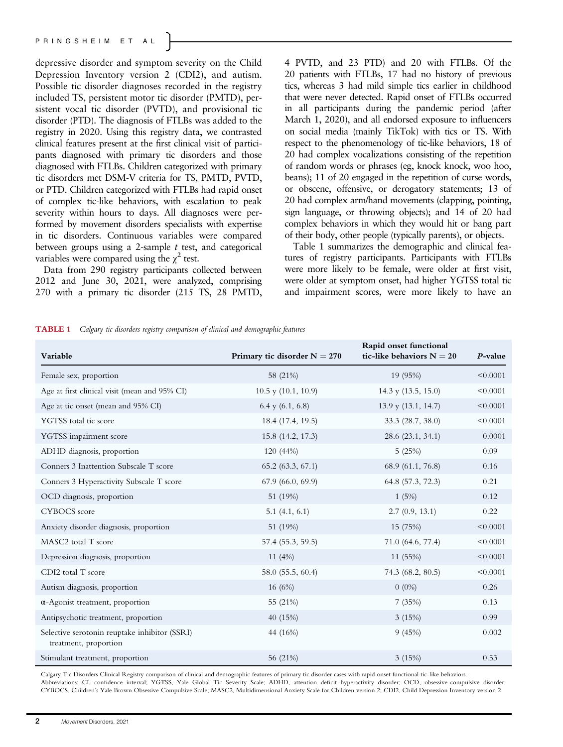depressive disorder and symptom severity on the Child Depression Inventory version 2 (CDI2), and autism. Possible tic disorder diagnoses recorded in the registry included TS, persistent motor tic disorder (PMTD), persistent vocal tic disorder (PVTD), and provisional tic disorder (PTD). The diagnosis of FTLBs was added to the registry in 2020. Using this registry data, we contrasted clinical features present at the first clinical visit of participants diagnosed with primary tic disorders and those diagnosed with FTLBs. Children categorized with primary tic disorders met DSM-V criteria for TS, PMTD, PVTD, or PTD. Children categorized with FTLBs had rapid onset of complex tic-like behaviors, with escalation to peak severity within hours to days. All diagnoses were performed by movement disorders specialists with expertise in tic disorders. Continuous variables were compared between groups using a 2-sample  $t$  test, and categorical variables were compared using the  $\chi^2$  test.

Data from 290 registry participants collected between 2012 and June 30, 2021, were analyzed, comprising 270 with a primary tic disorder (215 TS, 28 PMTD,

4 PVTD, and 23 PTD) and 20 with FTLBs. Of the 20 patients with FTLBs, 17 had no history of previous tics, whereas 3 had mild simple tics earlier in childhood that were never detected. Rapid onset of FTLBs occurred in all participants during the pandemic period (after March 1, 2020), and all endorsed exposure to influencers on social media (mainly TikTok) with tics or TS. With respect to the phenomenology of tic-like behaviors, 18 of 20 had complex vocalizations consisting of the repetition of random words or phrases (eg, knock knock, woo hoo, beans); 11 of 20 engaged in the repetition of curse words, or obscene, offensive, or derogatory statements; 13 of 20 had complex arm/hand movements (clapping, pointing, sign language, or throwing objects); and 14 of 20 had complex behaviors in which they would hit or bang part of their body, other people (typically parents), or objects.

Table 1 summarizes the demographic and clinical features of registry participants. Participants with FTLBs were more likely to be female, were older at first visit, were older at symptom onset, had higher YGTSS total tic and impairment scores, were more likely to have an

TABLE 1 Calgary tic disorders registry comparison of clinical and demographic features

| Variable                                                               | Primary tic disorder $N = 270$ | Rapid onset functional<br>tic-like behaviors $N = 20$ | $P$ -value |
|------------------------------------------------------------------------|--------------------------------|-------------------------------------------------------|------------|
| Female sex, proportion                                                 | 58 (21%)                       | 19 (95%)                                              | < 0.0001   |
| Age at first clinical visit (mean and 95% CI)                          | $10.5$ y $(10.1, 10.9)$        | 14.3 y $(13.5, 15.0)$                                 | < 0.0001   |
| Age at tic onset (mean and 95% CI)                                     | $6.4$ y $(6.1, 6.8)$           | $13.9$ y $(13.1, 14.7)$                               | < 0.0001   |
| YGTSS total tic score                                                  | 18.4 (17.4, 19.5)              | 33.3(28.7, 38.0)                                      | < 0.0001   |
| YGTSS impairment score                                                 | 15.8 (14.2, 17.3)              | 28.6 (23.1, 34.1)                                     | 0.0001     |
| ADHD diagnosis, proportion                                             | 120 (44%)                      | 5(25%)                                                | 0.09       |
| Conners 3 Inattention Subscale T score                                 | 65.2(63.3, 67.1)               | 68.9 (61.1, 76.8)                                     | 0.16       |
| Conners 3 Hyperactivity Subscale T score                               | 67.9(66.0, 69.9)               | 64.8 (57.3, 72.3)                                     | 0.21       |
| OCD diagnosis, proportion                                              | 51 (19%)                       | 1(5%)                                                 | 0.12       |
| <b>CYBOCS</b> score                                                    | 5.1(4.1, 6.1)                  | 2.7(0.9, 13.1)                                        | 0.22       |
| Anxiety disorder diagnosis, proportion                                 | 51 (19%)                       | 15 (75%)                                              | < 0.0001   |
| MASC2 total T score                                                    | 57.4 (55.3, 59.5)              | 71.0 (64.6, 77.4)                                     | < 0.0001   |
| Depression diagnosis, proportion                                       | 11 $(4%)$                      | 11 (55%)                                              | < 0.0001   |
| CDI2 total T score                                                     | 58.0 (55.5, 60.4)              | 74.3 (68.2, 80.5)                                     | < 0.0001   |
| Autism diagnosis, proportion                                           | 16 (6%)                        | $0(0\%)$                                              | 0.26       |
| $\alpha$ -Agonist treatment, proportion                                | 55 (21%)                       | 7(35%)                                                | 0.13       |
| Antipsychotic treatment, proportion                                    | 40 $(15%)$                     | 3(15%)                                                | 0.99       |
| Selective serotonin reuptake inhibitor (SSRI)<br>treatment, proportion | 44 (16%)                       | 9(45%)                                                | 0.002      |
| Stimulant treatment, proportion                                        | 56 (21%)                       | 3(15%)                                                | 0.53       |

Calgary Tic Disorders Clinical Registry comparison of clinical and demographic features of primary tic disorder cases with rapid onset functional tic-like behaviors. Abbreviations: CI, confidence interval; YGTSS, Yale Global Tic Severity Scale; ADHD, attention deficit hyperactivity disorder; OCD, obsessive-compulsive disorder; CYBOCS, Children's Yale Brown Obsessive Compulsive Scale; MASC2, Multidimensional Anxiety Scale for Children version 2; CDI2, Child Depression Inventory version 2.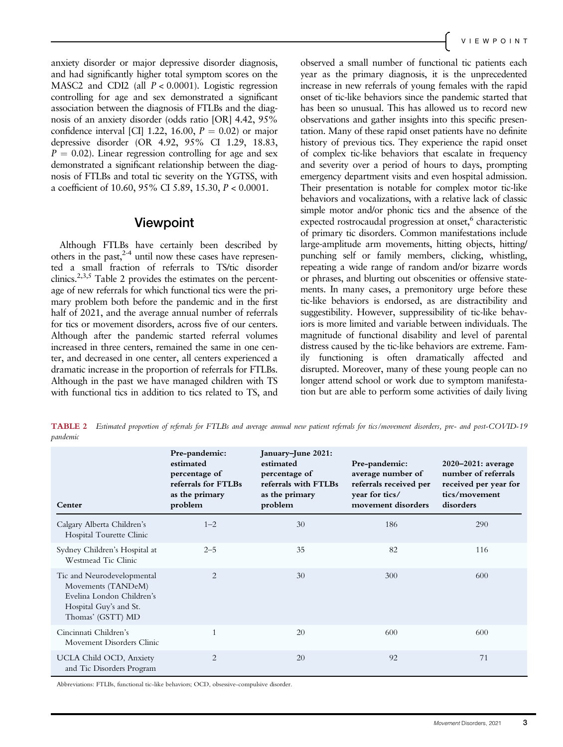anxiety disorder or major depressive disorder diagnosis, and had significantly higher total symptom scores on the MASC2 and CDI2 (all  $P < 0.0001$ ). Logistic regression controlling for age and sex demonstrated a significant association between the diagnosis of FTLBs and the diagnosis of an anxiety disorder (odds ratio [OR] 4.42, 95% confidence interval [CI] 1.22, 16.00,  $P = 0.02$  or major depressive disorder (OR 4.92, 95% CI 1.29, 18.83,  $P = 0.02$ ). Linear regression controlling for age and sex demonstrated a significant relationship between the diagnosis of FTLBs and total tic severity on the YGTSS, with a coefficient of 10.60, 95% CI 5.89, 15.30, P < 0.0001.

### Viewpoint

Although FTLBs have certainly been described by others in the past, $2-4$  until now these cases have represented a small fraction of referrals to TS/tic disorder clinics.<sup>2,3,5</sup> Table 2 provides the estimates on the percentage of new referrals for which functional tics were the primary problem both before the pandemic and in the first half of 2021, and the average annual number of referrals for tics or movement disorders, across five of our centers. Although after the pandemic started referral volumes increased in three centers, remained the same in one center, and decreased in one center, all centers experienced a dramatic increase in the proportion of referrals for FTLBs. Although in the past we have managed children with TS with functional tics in addition to tics related to TS, and observed a small number of functional tic patients each year as the primary diagnosis, it is the unprecedented increase in new referrals of young females with the rapid onset of tic-like behaviors since the pandemic started that has been so unusual. This has allowed us to record new observations and gather insights into this specific presentation. Many of these rapid onset patients have no definite history of previous tics. They experience the rapid onset of complex tic-like behaviors that escalate in frequency and severity over a period of hours to days, prompting emergency department visits and even hospital admission. Their presentation is notable for complex motor tic-like behaviors and vocalizations, with a relative lack of classic simple motor and/or phonic tics and the absence of the expected rostrocaudal progression at onset,<sup>6</sup> characteristic of primary tic disorders. Common manifestations include large-amplitude arm movements, hitting objects, hitting/ punching self or family members, clicking, whistling, repeating a wide range of random and/or bizarre words or phrases, and blurting out obscenities or offensive statements. In many cases, a premonitory urge before these tic-like behaviors is endorsed, as are distractibility and suggestibility. However, suppressibility of tic-like behaviors is more limited and variable between individuals. The magnitude of functional disability and level of parental distress caused by the tic-like behaviors are extreme. Family functioning is often dramatically affected and disrupted. Moreover, many of these young people can no longer attend school or work due to symptom manifestation but are able to perform some activities of daily living

TABLE 2 Estimated proportion of referrals for FTLBs and average annual new patient referrals for tics/movement disorders, pre- and post-COVID-19 pandemic

| Center                                                                                                                       | Pre-pandemic:<br>estimated<br>percentage of<br>referrals for FTLBs<br>as the primary<br>problem | January-June 2021:<br>estimated<br>percentage of<br>referrals with FTLBs<br>as the primary<br>problem | Pre-pandemic:<br>average number of<br>referrals received per<br>year for tics/<br>movement disorders | $2020 - 2021$ : average<br>number of referrals<br>received per year for<br>tics/movement<br>disorders |
|------------------------------------------------------------------------------------------------------------------------------|-------------------------------------------------------------------------------------------------|-------------------------------------------------------------------------------------------------------|------------------------------------------------------------------------------------------------------|-------------------------------------------------------------------------------------------------------|
| Calgary Alberta Children's<br>Hospital Tourette Clinic                                                                       | $1 - 2$                                                                                         | 30                                                                                                    | 186                                                                                                  | 290                                                                                                   |
| Sydney Children's Hospital at<br>Westmead Tic Clinic                                                                         | $2 - 5$                                                                                         | 35                                                                                                    | 82                                                                                                   | 116                                                                                                   |
| Tic and Neurodevelopmental<br>Movements (TANDeM)<br>Evelina London Children's<br>Hospital Guy's and St.<br>Thomas' (GSTT) MD | $\overline{2}$                                                                                  | 30                                                                                                    | 300                                                                                                  | 600                                                                                                   |
| Cincinnati Children's<br>Movement Disorders Clinic                                                                           | $\mathbf{1}$                                                                                    | 20                                                                                                    | 600                                                                                                  | 600                                                                                                   |
| UCLA Child OCD, Anxiety<br>and Tic Disorders Program                                                                         | $\overline{2}$                                                                                  | 20                                                                                                    | 92                                                                                                   | 71                                                                                                    |

Abbreviations: FTLBs, functional tic-like behaviors; OCD, obsessive-compulsive disorder.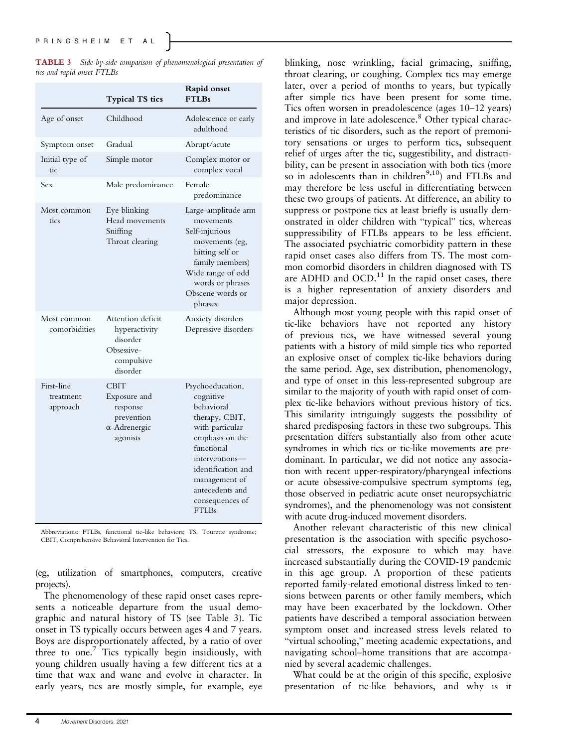|                            |  | <b>TABLE 3</b> Side-by-side comparison of phenomenological presentation of |  |
|----------------------------|--|----------------------------------------------------------------------------|--|
| tics and rapid onset FTLBs |  |                                                                            |  |

|                                     | <b>Typical TS tics</b>                                                                    | Rapid onset<br><b>FTLBs</b>                                                                                                                                                                                                      |
|-------------------------------------|-------------------------------------------------------------------------------------------|----------------------------------------------------------------------------------------------------------------------------------------------------------------------------------------------------------------------------------|
| Age of onset                        | Childhood                                                                                 | Adolescence or early<br>adulthood                                                                                                                                                                                                |
| Symptom onset                       | Gradual                                                                                   | Abrupt/acute                                                                                                                                                                                                                     |
| Initial type of<br>tic              | Simple motor                                                                              | Complex motor or<br>complex vocal                                                                                                                                                                                                |
| Sex                                 | Male predominance                                                                         | Female<br>predominance                                                                                                                                                                                                           |
| Most common<br>tics                 | Eye blinking<br>Head movements<br>Sniffing<br>Throat clearing                             | Large-amplitude arm<br>movements<br>Self-injurious<br>movements (eg,<br>hitting self or<br>family members)<br>Wide range of odd<br>words or phrases<br>Obscene words or<br>phrases                                               |
| Most common<br>comorbidities        | Attention deficit<br>hyperactivity<br>disorder<br>Obsessive-<br>compulsive<br>disorder    | Anxiety disorders<br>Depressive disorders                                                                                                                                                                                        |
| First-line<br>treatment<br>approach | <b>CBIT</b><br>Exposure and<br>response<br>prevention<br>$\alpha$ -Adrenergic<br>agonists | Psychoeducation,<br>cognitive<br>behavioral<br>therapy, CBIT,<br>with particular<br>emphasis on the<br>functional<br>interventions-<br>identification and<br>management of<br>antecedents and<br>consequences of<br><b>FTLBs</b> |

Abbreviations: FTLBs, functional tic-like behaviors; TS, Tourette syndrome; CBIT, Comprehensive Behavioral Intervention for Tics.

(eg, utilization of smartphones, computers, creative projects).

The phenomenology of these rapid onset cases represents a noticeable departure from the usual demographic and natural history of TS (see Table 3). Tic onset in TS typically occurs between ages 4 and 7 years. Boys are disproportionately affected, by a ratio of over three to one.<sup>7</sup> Tics typically begin insidiously, with young children usually having a few different tics at a time that wax and wane and evolve in character. In early years, tics are mostly simple, for example, eye blinking, nose wrinkling, facial grimacing, sniffing, throat clearing, or coughing. Complex tics may emerge later, over a period of months to years, but typically after simple tics have been present for some time. Tics often worsen in preadolescence (ages 10–12 years) and improve in late adolescence.<sup>8</sup> Other typical characteristics of tic disorders, such as the report of premonitory sensations or urges to perform tics, subsequent relief of urges after the tic, suggestibility, and distractibility, can be present in association with both tics (more so in adolescents than in children $9,10)$  and FTLBs and may therefore be less useful in differentiating between these two groups of patients. At difference, an ability to suppress or postpone tics at least briefly is usually demonstrated in older children with "typical" tics, whereas suppressibility of FTLBs appears to be less efficient. The associated psychiatric comorbidity pattern in these rapid onset cases also differs from TS. The most common comorbid disorders in children diagnosed with TS are ADHD and  $OCD$ .<sup>11</sup> In the rapid onset cases, there is a higher representation of anxiety disorders and major depression.

Although most young people with this rapid onset of tic-like behaviors have not reported any history of previous tics, we have witnessed several young patients with a history of mild simple tics who reported an explosive onset of complex tic-like behaviors during the same period. Age, sex distribution, phenomenology, and type of onset in this less-represented subgroup are similar to the majority of youth with rapid onset of complex tic-like behaviors without previous history of tics. This similarity intriguingly suggests the possibility of shared predisposing factors in these two subgroups. This presentation differs substantially also from other acute syndromes in which tics or tic-like movements are predominant. In particular, we did not notice any association with recent upper-respiratory/pharyngeal infections or acute obsessive-compulsive spectrum symptoms (eg, those observed in pediatric acute onset neuropsychiatric syndromes), and the phenomenology was not consistent with acute drug-induced movement disorders.

Another relevant characteristic of this new clinical presentation is the association with specific psychosocial stressors, the exposure to which may have increased substantially during the COVID-19 pandemic in this age group. A proportion of these patients reported family-related emotional distress linked to tensions between parents or other family members, which may have been exacerbated by the lockdown. Other patients have described a temporal association between symptom onset and increased stress levels related to "virtual schooling," meeting academic expectations, and navigating school–home transitions that are accompanied by several academic challenges.

What could be at the origin of this specific, explosive presentation of tic-like behaviors, and why is it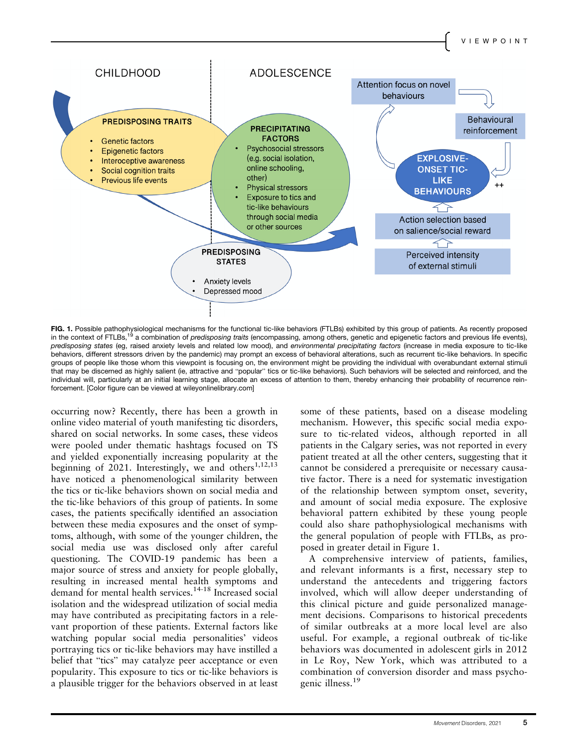

**FIG. 1.** Possible pathophysiological mechanisms for the functional tic-like behaviors (FTLBs) exhibited by this group of patients. As recently proposed<br>in the context of FTLBs,<sup>19</sup> a combination of *predisposing traits* ( predisposing states (eg, raised anxiety levels and related low mood), and environmental precipitating factors (increase in media exposure to tic-like behaviors, different stressors driven by the pandemic) may prompt an excess of behavioral alterations, such as recurrent tic-like behaviors. In specific groups of people like those whom this viewpoint is focusing on, the environment might be providing the individual with overabundant external stimuli that may be discerned as highly salient (ie, attractive and "popular" tics or tic-like behaviors). Such behaviors will be selected and reinforced, and the individual will, particularly at an initial learning stage, allocate an excess of attention to them, thereby enhancing their probability of recurrence reinforcement. [Color figure can be viewed at [wileyonlinelibrary.com](http://wileyonlinelibrary.com)]

occurring now? Recently, there has been a growth in online video material of youth manifesting tic disorders, shared on social networks. In some cases, these videos were pooled under thematic hashtags focused on TS and yielded exponentially increasing popularity at the beginning of 2021. Interestingly, we and others<sup>1,12,13</sup> have noticed a phenomenological similarity between the tics or tic-like behaviors shown on social media and the tic-like behaviors of this group of patients. In some cases, the patients specifically identified an association between these media exposures and the onset of symptoms, although, with some of the younger children, the social media use was disclosed only after careful questioning. The COVID-19 pandemic has been a major source of stress and anxiety for people globally, resulting in increased mental health symptoms and demand for mental health services.14-18 Increased social isolation and the widespread utilization of social media may have contributed as precipitating factors in a relevant proportion of these patients. External factors like watching popular social media personalities' videos portraying tics or tic-like behaviors may have instilled a belief that "tics" may catalyze peer acceptance or even popularity. This exposure to tics or tic-like behaviors is a plausible trigger for the behaviors observed in at least some of these patients, based on a disease modeling mechanism. However, this specific social media exposure to tic-related videos, although reported in all patients in the Calgary series, was not reported in every patient treated at all the other centers, suggesting that it cannot be considered a prerequisite or necessary causative factor. There is a need for systematic investigation of the relationship between symptom onset, severity, and amount of social media exposure. The explosive behavioral pattern exhibited by these young people could also share pathophysiological mechanisms with the general population of people with FTLBs, as proposed in greater detail in Figure 1.

A comprehensive interview of patients, families, and relevant informants is a first, necessary step to understand the antecedents and triggering factors involved, which will allow deeper understanding of this clinical picture and guide personalized management decisions. Comparisons to historical precedents of similar outbreaks at a more local level are also useful. For example, a regional outbreak of tic-like behaviors was documented in adolescent girls in 2012 in Le Roy, New York, which was attributed to a combination of conversion disorder and mass psychogenic illness.<sup>19</sup>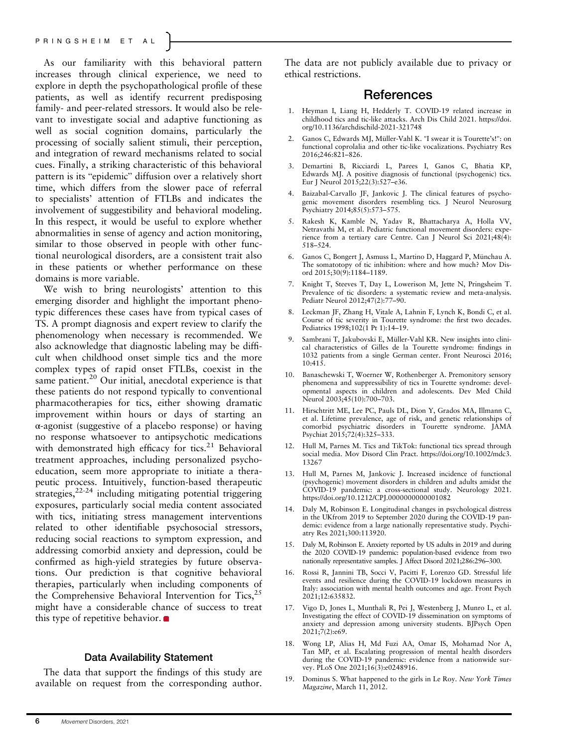As our familiarity with this behavioral pattern increases through clinical experience, we need to explore in depth the psychopathological profile of these patients, as well as identify recurrent predisposing family- and peer-related stressors. It would also be relevant to investigate social and adaptive functioning as well as social cognition domains, particularly the processing of socially salient stimuli, their perception, and integration of reward mechanisms related to social cues. Finally, a striking characteristic of this behavioral pattern is its "epidemic" diffusion over a relatively short time, which differs from the slower pace of referral to specialists' attention of FTLBs and indicates the involvement of suggestibility and behavioral modeling. In this respect, it would be useful to explore whether abnormalities in sense of agency and action monitoring, similar to those observed in people with other functional neurological disorders, are a consistent trait also in these patients or whether performance on these domains is more variable.

We wish to bring neurologists' attention to this emerging disorder and highlight the important phenotypic differences these cases have from typical cases of TS. A prompt diagnosis and expert review to clarify the phenomenology when necessary is recommended. We also acknowledge that diagnostic labeling may be difficult when childhood onset simple tics and the more complex types of rapid onset FTLBs, coexist in the same patient. $20$  Our initial, anecdotal experience is that these patients do not respond typically to conventional pharmacotherapies for tics, either showing dramatic improvement within hours or days of starting an α-agonist (suggestive of a placebo response) or having no response whatsoever to antipsychotic medications with demonstrated high efficacy for tics.<sup>21</sup> Behavioral treatment approaches, including personalized psychoeducation, seem more appropriate to initiate a therapeutic process. Intuitively, function-based therapeutic strategies,<sup>22-24</sup> including mitigating potential triggering exposures, particularly social media content associated with tics, initiating stress management interventions related to other identifiable psychosocial stressors, reducing social reactions to symptom expression, and addressing comorbid anxiety and depression, could be confirmed as high-yield strategies by future observations. Our prediction is that cognitive behavioral therapies, particularly when including components of the Comprehensive Behavioral Intervention for Tics, $^{25}$ might have a considerable chance of success to treat this type of repetitive behavior.  $\bullet$ 

#### Data Availability Statement

The data that support the findings of this study are available on request from the corresponding author.

The data are not publicly available due to privacy or ethical restrictions.

### References

- 1. Heyman I, Liang H, Hedderly T. COVID-19 related increase in childhood tics and tic-like attacks. Arch Dis Child 2021. [https://doi.](https://di.org/10.1136/archdischild-2021-321748) [org/10.1136/archdischild-2021-321748](https://di.org/10.1136/archdischild-2021-321748)
- 2. Ganos C, Edwards MJ, Müller-Vahl K. "I swear it is Tourette's!": on functional coprolalia and other tic-like vocalizations. Psychiatry Res 2016;246:821–826.
- 3. Demartini B, Ricciardi L, Parees I, Ganos C, Bhatia KP, Edwards MJ. A positive diagnosis of functional (psychogenic) tics. Eur J Neurol 2015;22(3):527–e36.
- 4. Baizabal-Carvallo JF, Jankovic J. The clinical features of psychogenic movement disorders resembling tics. J Neurol Neurosurg Psychiatry 2014;85(5):573–575.
- 5. Rakesh K, Kamble N, Yadav R, Bhattacharya A, Holla VV, Netravathi M, et al. Pediatric functional movement disorders: experience from a tertiary care Centre. Can J Neurol Sci 2021;48(4): 518–524.
- 6. Ganos C, Bongert J, Asmuss L, Martino D, Haggard P, Münchau A. The somatotopy of tic inhibition: where and how much? Mov Disord 2015;30(9):1184–1189.
- 7. Knight T, Steeves T, Day L, Lowerison M, Jette N, Pringsheim T. Prevalence of tic disorders: a systematic review and meta-analysis. Pediatr Neurol 2012;47(2):77–90.
- 8. Leckman JF, Zhang H, Vitale A, Lahnin F, Lynch K, Bondi C, et al. Course of tic severity in Tourette syndrome: the first two decades. Pediatrics 1998;102(1 Pt 1):14–19.
- 9. Sambrani T, Jakubovski E, Müller-Vahl KR. New insights into clinical characteristics of Gilles de la Tourette syndrome: findings in 1032 patients from a single German center. Front Neurosci 2016; 10:415.
- 10. Banaschewski T, Woerner W, Rothenberger A. Premonitory sensory phenomena and suppressibility of tics in Tourette syndrome: developmental aspects in children and adolescents. Dev Med Child Neurol 2003;45(10):700–703.
- 11. Hirschtritt ME, Lee PC, Pauls DL, Dion Y, Grados MA, Illmann C, et al. Lifetime prevalence, age of risk, and genetic relationships of comorbid psychiatric disorders in Tourette syndrome. JAMA Psychiat 2015;72(4):325–333.
- 12. Hull M, Parnes M. Tics and TikTok: functional tics spread through social media. Mov Disord Clin Pract. [https://doi.org/10.1002/mdc3.](https://doi.org/10.1002/mdc3.13267) [13267](https://doi.org/10.1002/mdc3.13267)
- 13. Hull M, Parnes M, Jankovic J. Increased incidence of functional (psychogenic) movement disorders in children and adults amidst the COVID-19 pandemic: a cross-sectional study. Neurology 2021. <https://doi.org/10.1212/CPJ.0000000000001082>
- 14. Daly M, Robinson E. Longitudinal changes in psychological distress in the UKfrom 2019 to September 2020 during the COVID-19 pandemic: evidence from a large nationally representative study. Psychiatry Res 2021;300:113920.
- 15. Daly M, Robinson E. Anxiety reported by US adults in 2019 and during the 2020 COVID-19 pandemic: population-based evidence from two nationally representative samples. J Affect Disord 2021;286:296–300.
- 16. Rossi R, Jannini TB, Socci V, Pacitti F, Lorenzo GD. Stressful life events and resilience during the COVID-19 lockdown measures in Italy: association with mental health outcomes and age. Front Psych 2021;12:635832.
- 17. Vigo D, Jones L, Munthali R, Pei J, Westenberg J, Munro L, et al. Investigating the effect of COVID-19 dissemination on symptoms of anxiety and depression among university students. BJPsych Open 2021;7(2):e69.
- 18. Wong LP, Alias H, Md Fuzi AA, Omar IS, Mohamad Nor A, Tan MP, et al. Escalating progression of mental health disorders during the COVID-19 pandemic: evidence from a nationwide survey. PLoS One 2021;16(3):e0248916.
- 19. Dominus S. What happened to the girls in Le Roy. New York Times Magazine, March 11, 2012.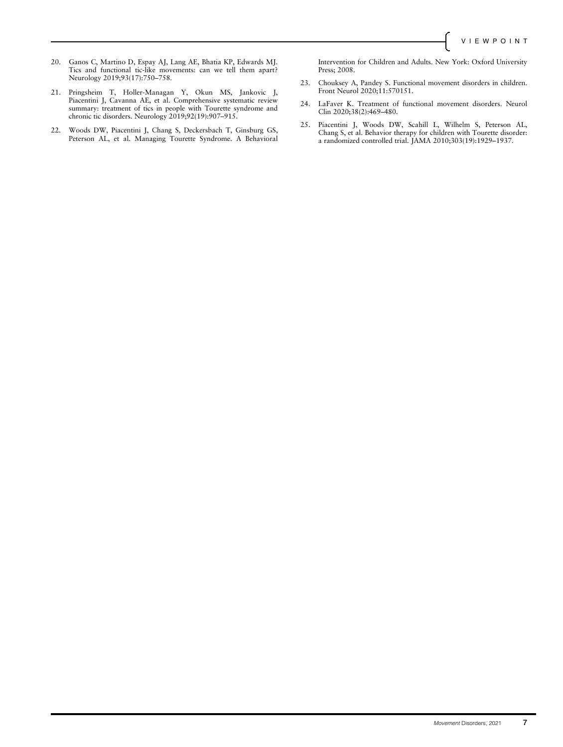- 20. Ganos C, Martino D, Espay AJ, Lang AE, Bhatia KP, Edwards MJ. Tics and functional tic-like movements: can we tell them apart? Neurology 2019;93(17):750–758.
- 21. Pringsheim T, Holler-Managan Y, Okun MS, Jankovic J, Piacentini J, Cavanna AE, et al. Comprehensive systematic review summary: treatment of tics in people with Tourette syndrome and chronic tic disorders. Neurology 2019;92(19):907–915.
- 22. Woods DW, Piacentini J, Chang S, Deckersbach T, Ginsburg GS, Peterson AL, et al. Managing Tourette Syndrome. A Behavioral

Intervention for Children and Adults. New York: Oxford University Press; 2008.

- 23. Chouksey A, Pandey S. Functional movement disorders in children. Front Neurol 2020;11:570151.
- 24. LaFaver K. Treatment of functional movement disorders. Neurol Clin 2020;38(2):469–480.
- 25. Piacentini J, Woods DW, Scahill L, Wilhelm S, Peterson AL, Chang S, et al. Behavior therapy for children with Tourette disorder: a randomized controlled trial. JAMA 2010;303(19):1929–1937.